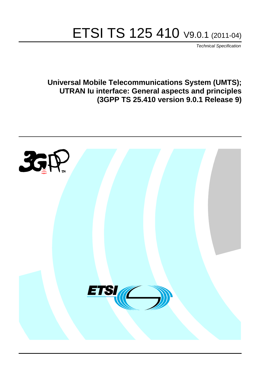# ETSI TS 125 410 V9.0.1 (2011-04)

*Technical Specification*

**Universal Mobile Telecommunications System (UMTS); UTRAN Iu interface: General aspects and principles (3GPP TS 25.410 version 9.0.1 Release 9)**

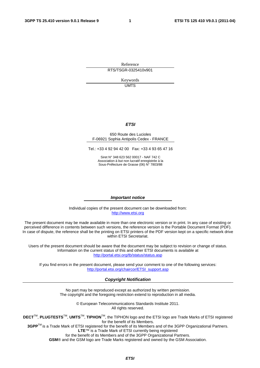Reference RTS/TSGR-0325410v901

> Keywords UMTS

#### *ETSI*

#### 650 Route des Lucioles F-06921 Sophia Antipolis Cedex - FRANCE

Tel.: +33 4 92 94 42 00 Fax: +33 4 93 65 47 16

Siret N° 348 623 562 00017 - NAF 742 C Association à but non lucratif enregistrée à la Sous-Préfecture de Grasse (06) N° 7803/88

#### *Important notice*

Individual copies of the present document can be downloaded from: [http://www.etsi.org](http://www.etsi.org/)

The present document may be made available in more than one electronic version or in print. In any case of existing or perceived difference in contents between such versions, the reference version is the Portable Document Format (PDF). In case of dispute, the reference shall be the printing on ETSI printers of the PDF version kept on a specific network drive within ETSI Secretariat.

Users of the present document should be aware that the document may be subject to revision or change of status. Information on the current status of this and other ETSI documents is available at <http://portal.etsi.org/tb/status/status.asp>

If you find errors in the present document, please send your comment to one of the following services: [http://portal.etsi.org/chaircor/ETSI\\_support.asp](http://portal.etsi.org/chaircor/ETSI_support.asp)

#### *Copyright Notification*

No part may be reproduced except as authorized by written permission. The copyright and the foregoing restriction extend to reproduction in all media.

> © European Telecommunications Standards Institute 2011. All rights reserved.

**DECT**TM, **PLUGTESTS**TM, **UMTS**TM, **TIPHON**TM, the TIPHON logo and the ETSI logo are Trade Marks of ETSI registered for the benefit of its Members.

**3GPP**TM is a Trade Mark of ETSI registered for the benefit of its Members and of the 3GPP Organizational Partners. **LTE**™ is a Trade Mark of ETSI currently being registered

for the benefit of its Members and of the 3GPP Organizational Partners.

**GSM**® and the GSM logo are Trade Marks registered and owned by the GSM Association.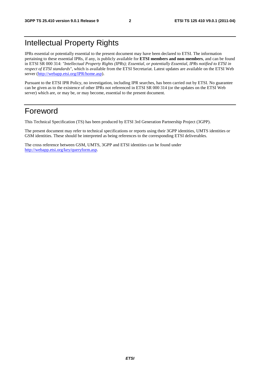## Intellectual Property Rights

IPRs essential or potentially essential to the present document may have been declared to ETSI. The information pertaining to these essential IPRs, if any, is publicly available for **ETSI members and non-members**, and can be found in ETSI SR 000 314: *"Intellectual Property Rights (IPRs); Essential, or potentially Essential, IPRs notified to ETSI in respect of ETSI standards"*, which is available from the ETSI Secretariat. Latest updates are available on the ETSI Web server [\(http://webapp.etsi.org/IPR/home.asp](http://webapp.etsi.org/IPR/home.asp)).

Pursuant to the ETSI IPR Policy, no investigation, including IPR searches, has been carried out by ETSI. No guarantee can be given as to the existence of other IPRs not referenced in ETSI SR 000 314 (or the updates on the ETSI Web server) which are, or may be, or may become, essential to the present document.

## Foreword

This Technical Specification (TS) has been produced by ETSI 3rd Generation Partnership Project (3GPP).

The present document may refer to technical specifications or reports using their 3GPP identities, UMTS identities or GSM identities. These should be interpreted as being references to the corresponding ETSI deliverables.

The cross reference between GSM, UMTS, 3GPP and ETSI identities can be found under <http://webapp.etsi.org/key/queryform.asp>.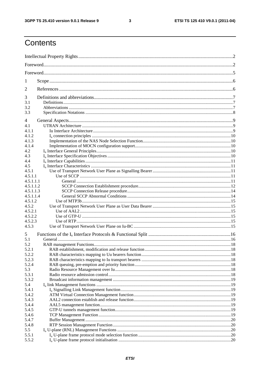$\mathbf{3}$ 

## Contents

| 1              |  |  |  |  |  |
|----------------|--|--|--|--|--|
| 2              |  |  |  |  |  |
| 3              |  |  |  |  |  |
| 3.1            |  |  |  |  |  |
| 3.2            |  |  |  |  |  |
| 3.3            |  |  |  |  |  |
| 4              |  |  |  |  |  |
| 4.1            |  |  |  |  |  |
| 4.1.1          |  |  |  |  |  |
| 4.1.2          |  |  |  |  |  |
| 4.1.3          |  |  |  |  |  |
| 4.1.4          |  |  |  |  |  |
| 4.2            |  |  |  |  |  |
| 4.3<br>4.4     |  |  |  |  |  |
| 4.5            |  |  |  |  |  |
| 4.5.1          |  |  |  |  |  |
| 4.5.1.1        |  |  |  |  |  |
| 4.5.1.1.1      |  |  |  |  |  |
| 4.5.1.1.2      |  |  |  |  |  |
| 4.5.1.1.3      |  |  |  |  |  |
| 4.5.1.1.4      |  |  |  |  |  |
| 4.5.1.2        |  |  |  |  |  |
| 4.5.2          |  |  |  |  |  |
| 4.5.2.1        |  |  |  |  |  |
| 4.5.2.2        |  |  |  |  |  |
| 4.5.2.3        |  |  |  |  |  |
| 4.5.3          |  |  |  |  |  |
| 5              |  |  |  |  |  |
| 5.1            |  |  |  |  |  |
| 5.2<br>5.2.1   |  |  |  |  |  |
| 5.2.2          |  |  |  |  |  |
| 5.2.3          |  |  |  |  |  |
| 5.2.4          |  |  |  |  |  |
| 5.3            |  |  |  |  |  |
| 5.3.1          |  |  |  |  |  |
| 5.3.2          |  |  |  |  |  |
| 5.4            |  |  |  |  |  |
| 5.4.1          |  |  |  |  |  |
| 5.4.2          |  |  |  |  |  |
| 5.4.3          |  |  |  |  |  |
| 5.4.4          |  |  |  |  |  |
| 5.4.5          |  |  |  |  |  |
| 5.4.6          |  |  |  |  |  |
| 5.4.7<br>5.4.8 |  |  |  |  |  |
| 5.5            |  |  |  |  |  |
| 5.5.1          |  |  |  |  |  |
| 5.5.2          |  |  |  |  |  |
|                |  |  |  |  |  |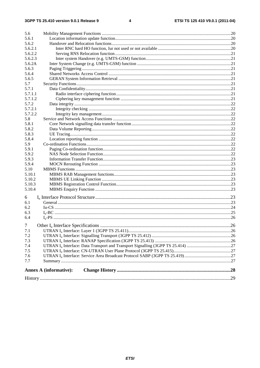| 5.6            |                               |  |  |
|----------------|-------------------------------|--|--|
| 5.6.1          |                               |  |  |
| 5.6.2          |                               |  |  |
| 5.6.2.1        |                               |  |  |
| 5.6.2.2        |                               |  |  |
| 5.6.2.3        |                               |  |  |
| 5.6.2A         |                               |  |  |
| 5.6.3          |                               |  |  |
| 5.6.4          |                               |  |  |
| 5.6.5          |                               |  |  |
| 5.7            |                               |  |  |
| 5.7.1          |                               |  |  |
| 5.7.1.1        |                               |  |  |
| 5.7.1.2        |                               |  |  |
| 5.7.2          |                               |  |  |
| 5.7.2.1        |                               |  |  |
| 5.7.2.2        |                               |  |  |
| 5.8            |                               |  |  |
| 5.8.1          |                               |  |  |
| 5.8.2          |                               |  |  |
| 5.8.3          |                               |  |  |
| 5.8.4          |                               |  |  |
| 5.9            |                               |  |  |
| 5.9.1          |                               |  |  |
| 5.9.2          |                               |  |  |
| 5.9.3          |                               |  |  |
| 5.9.4          |                               |  |  |
| 5.10           |                               |  |  |
| 5.10.1         |                               |  |  |
| 5.10.2         |                               |  |  |
| 5.10.3         |                               |  |  |
| 5.10.4         |                               |  |  |
|                |                               |  |  |
| 6              |                               |  |  |
| 6.1            |                               |  |  |
| 6.2            |                               |  |  |
| 6.3            |                               |  |  |
| 6.4            |                               |  |  |
| 7 <sup>1</sup> |                               |  |  |
| 7.1            |                               |  |  |
| 7.2            |                               |  |  |
| 7.3            |                               |  |  |
| 7.4            |                               |  |  |
| 7.5            |                               |  |  |
| 7.6            |                               |  |  |
| 7.7            |                               |  |  |
|                |                               |  |  |
|                | <b>Annex A (informative):</b> |  |  |
|                |                               |  |  |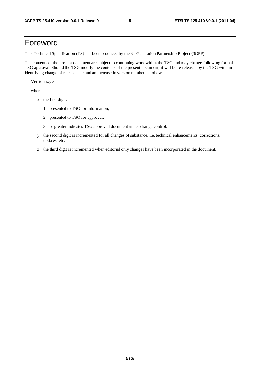## Foreword

This Technical Specification (TS) has been produced by the 3<sup>rd</sup> Generation Partnership Project (3GPP).

The contents of the present document are subject to continuing work within the TSG and may change following formal TSG approval. Should the TSG modify the contents of the present document, it will be re-released by the TSG with an identifying change of release date and an increase in version number as follows:

Version x.y.z

where:

- x the first digit:
	- 1 presented to TSG for information;
	- 2 presented to TSG for approval;
	- 3 or greater indicates TSG approved document under change control.
- y the second digit is incremented for all changes of substance, i.e. technical enhancements, corrections, updates, etc.
- z the third digit is incremented when editorial only changes have been incorporated in the document.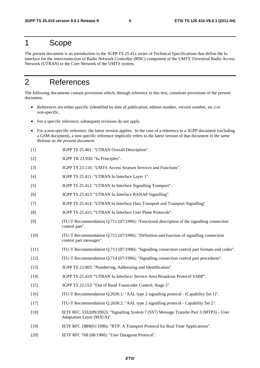## 1 Scope

The present document is an introduction to the 3GPP TS 25.41x series of Technical Specifications that define the Iu interface for the interconnection of Radio Network Controller (RNC) component of the UMTS Terrestrial Radio Access Network (UTRAN) to the Core Network of the UMTS system.

## 2 References

The following documents contain provisions which, through reference in this text, constitute provisions of the present document.

- References are either specific (identified by date of publication, edition number, version number, etc.) or non-specific.
- For a specific reference, subsequent revisions do not apply.
- For a non-specific reference, the latest version applies. In the case of a reference to a 3GPP document (including a GSM document), a non-specific reference implicitly refers to the latest version of that document *in the same Release as the present document*.
- [1] 3GPP TS 25.401: "UTRAN Overall Description".
- [2] 3GPP TR 23.930: "Iu Principles".
- [3] 3GPP TS 23.110: "UMTS Access Stratum Services and Functions".
- [4] 3GPP TS 25.411: "UTRAN Iu Interface Layer 1".
- [5] 3GPP TS 25.412: "UTRAN Iu Interface Signalling Transport".
- [6] 3GPP TS 25.413: "UTRAN Iu Interface RANAP Signalling".
- [7] 3GPP TS 25.414: "UTRAN Iu Interface Data Transport and Transport Signalling"
- [8] 3GPP TS 25.415: "UTRAN Iu Interface User Plane Protocols".
- [9] ITU-T Recommendation Q.711 (07/1996): "Functional description of the signalling connection control part".
- [10] ITU-T Recommendation Q.712 (07/1996): "Definition and function of signalling connection control part messages".
- [11] ITU-T Recommendation Q.713 (07/1996): "Signalling connection control part formats and codes".
- [12] ITU-T Recommendation Q.714 (07/1996): "Signalling connection control part procedures".
- [13] 3GPP TS 23.003: "Numbering, Addressing and Identification".
- [14] 3GPP TS 25.419: "UTRAN Iu Interface: Service Area Broadcast Protocol SABP".
- [15] 3GPP TS 23.153: "Out of Band Transcoder Control; Stage 2".
- [16] ITU-T Recommendation Q.2630.1: "AAL type 2 signalling protocol (Capability Set 1)".
- [17] ITU-T Recommendation Q.2630.2: "AAL type 2 signalling protocol Capability Set 2".
- [18] IETF RFC 3332(09/2002): "Signalling System 7 (SS7) Message Transfer Part 3 (MTP3) User Adaptation Layer (M3UA)"
- [19] IETF RFC 1889(01/1996): "RTP: A Transport Protocol for Real Time Applications".
- [20] IETF RFC 768 (08/1980): "User Datagram Protocol".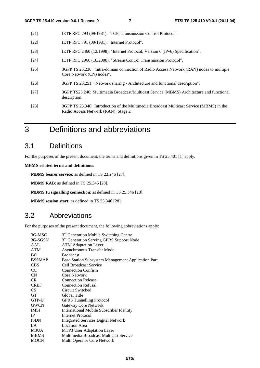- [21] IETF RFC 793 (09/1981): "TCP, Transmission Control Protocol".
- [22] **IETF RFC 791 (09/1981): "Internet Protocol".**
- [23] IETF RFC 2460 (12/1998): "Internet Protocol, Version 6 (IPv6) Specification".
- [24] IETF RFC 2960 (10/2000): "Stream Control Transmission Protocol".
- [25] 3GPP TS 23.236: "Intra-domain connection of Radio Access Network (RAN) nodes to multiple Core Network (CN) nodes".
- [26] 3GPP TS 23.251: "Network sharing Architecture and functional description".
- [27] 3GPP TS23.246: Multimedia Broadcast/Multicast Service (MBMS) Architecture and functional description
- [28] 3GPP TS 25.346: 'Introduction of the Multimedia Broadcast Multicast Service (MBMS) in the Radio Access Network (RAN); Stage 2'.
- 3 Definitions and abbreviations

## 3.1 Definitions

For the purposes of the present document, the terms and definitions given in TS 25.401 [1] apply.

**MBMS related terms and definitions:** 

**MBMS bearer service**: as defined in TS 23.246 [27].

**MBMS RAB**: as defined in TS 25.346 [28].

**MBMS Iu signalling connection**: as defined in TS 25.346 [28].

**MBMS session start**: as defined in TS 25.346 [28].

### 3.2 Abbreviations

For the purposes of the present document, the following abbreviations apply:

| 3G-MSC          | 3 <sup>rd</sup> Generation Mobile Switching Centre   |
|-----------------|------------------------------------------------------|
| 3G-SGSN         | 3 <sup>rd</sup> Generation Serving GPRS Support Node |
|                 |                                                      |
| AAL             | <b>ATM Adaptation Layer</b>                          |
| <b>ATM</b>      | <b>Asynchronous Transfer Mode</b>                    |
| BC              | <b>Broadcast</b>                                     |
| <b>BSSMAP</b>   | Base Station Subsystem Management Application Part   |
| <b>CBS</b>      | <b>Cell Broadcast Service</b>                        |
| <sub>CC</sub>   | <b>Connection Confirm</b>                            |
| CN              | Core Network                                         |
| C <sub>R</sub>  | <b>Connection Release</b>                            |
| <b>CREF</b>     | <b>Connection Refusal</b>                            |
| CS <sup>-</sup> | Circuit Switched                                     |
| <b>GT</b>       | Global Title                                         |
| GTP-U           | <b>GPRS</b> Tunnelling Protocol                      |
| <b>GWCN</b>     | Gateway Core Network                                 |
| <b>IMSI</b>     | <b>International Mobile Subscriber Identity</b>      |
| IP              | Internet Protocol                                    |
| <b>ISDN</b>     | <b>Integrated Services Digital Network</b>           |
| LA              | <b>Location Area</b>                                 |
| M3UA            | MTP3 User Adaptation Layer                           |
| <b>MBMS</b>     | Multimedia Broadcast Multicast Service               |
| <b>MOCN</b>     | Multi Operator Core Network                          |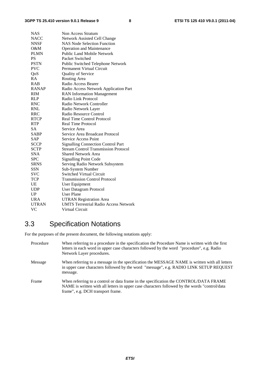| <b>NAS</b>   | Non Access Stratum                           |
|--------------|----------------------------------------------|
| <b>NACC</b>  | Network Assisted Cell Change                 |
| <b>NNSF</b>  | <b>NAS Node Selection Function</b>           |
| $O\&M$       | <b>Operation and Maintenance</b>             |
| <b>PLMN</b>  | <b>Public Land Mobile Network</b>            |
| <b>PS</b>    | Packet Switched                              |
| <b>PSTN</b>  | Public Switched Telephone Network            |
| <b>PVC</b>   | <b>Permanent Virtual Circuit</b>             |
| QoS          | Quality of Service                           |
| RA           | Routing Area                                 |
| <b>RAB</b>   | Radio Access Bearer                          |
| <b>RANAP</b> | Radio Access Network Application Part        |
| <b>RIM</b>   | <b>RAN Information Management</b>            |
| <b>RLP</b>   | Radio Link Protocol                          |
| <b>RNC</b>   | Radio Network Controller                     |
| RNL          | Radio Network Layer                          |
| RRC          | Radio Resource Control                       |
| <b>RTCP</b>  | <b>Real Time Control Protocol</b>            |
| <b>RTP</b>   | <b>Real Time Protocol</b>                    |
| <b>SA</b>    | Service Area                                 |
| <b>SABP</b>  | Service Area Broadcast Protocol              |
| SAP          | <b>Service Access Point</b>                  |
| <b>SCCP</b>  | <b>Signalling Connection Control Part</b>    |
| <b>SCTP</b>  | <b>Stream Control Transmission Protocol</b>  |
| <b>SNA</b>   | <b>Shared Network Area</b>                   |
| <b>SPC</b>   | <b>Signalling Point Code</b>                 |
| <b>SRNS</b>  | Serving Radio Network Subsystem              |
| SSN          | Sub-System Number                            |
| <b>SVC</b>   | <b>Switched Virtual Circuit</b>              |
| TCP          | <b>Transmission Control Protocol</b>         |
| UE           | User Equipment                               |
| <b>UDP</b>   | User Datagram Protocol                       |
| UP           | <b>User Plane</b>                            |
| <b>URA</b>   | <b>UTRAN Registration Area</b>               |
| <b>UTRAN</b> | <b>UMTS Terrestrial Radio Access Network</b> |
| VC           | <b>Virtual Circuit</b>                       |

## 3.3 Specification Notations

For the purposes of the present document, the following notations apply:

| Procedure | When referring to a procedure in the specification the Procedure Name is written with the first<br>letters in each word in upper case characters followed by the word "procedure", e.g. Radio<br>Network Layer procedures.   |
|-----------|------------------------------------------------------------------------------------------------------------------------------------------------------------------------------------------------------------------------------|
| Message   | When referring to a message in the specification the MESSAGE NAME is written with all letters<br>in upper case characters followed by the word "message", e.g. RADIO LINK SETUP REQUEST<br>message.                          |
| Frame     | When referring to a control or data frame in the specification the CONTROL/DATA FRAME<br>NAME is written with all letters in upper case characters followed by the words "control/data"<br>frame", e.g. DCH transport frame. |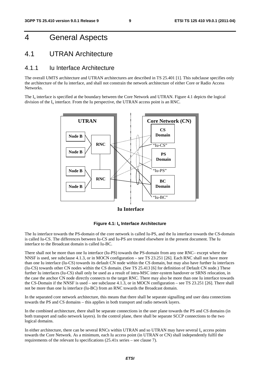## 4 General Aspects

### 4.1 UTRAN Architecture

#### 4.1.1 Iu Interface Architecture

The overall UMTS architecture and UTRAN architectures are described in TS 25.401 [1]. This subclause specifies only the architecture of the Iu interface, and shall not constrain the network architecture of either Core or Radio Access **Networks**.

The  $I_{\text{u}}$  interface is specified at the boundary between the Core Network and UTRAN. Figure 4.1 depicts the logical division of the  $I_u$  interface. From the Iu perspective, the UTRAN access point is an RNC.



**Iu Interface**



The Iu interface towards the PS-domain of the core network is called Iu-PS, and the Iu interface towards the CS-domain is called Iu-CS. The differences between Iu-CS and Iu-PS are treated elsewhere in the present document. The Iu interface to the Broadcast domain is called Iu-BC.

There shall not be more than one Iu interface (Iu-PS) towards the PS-domain from any one RNC– except where the NNSF is used, see subclause 4.1.3, or in MOCN configuration – see TS 23.251 [26]. Each RNC shall not have more than one Iu interface (Iu-CS) towards its default CN node within the CS domain, but may also have further Iu interfaces (Iu-CS) towards other CN nodes within the CS domain. (See TS 25.413 [6] for definition of Default CN node.) These further Iu interfaces (Iu-CS) shall only be used as a result of intra-MSC inter-system handover or SRNS relocation, in the case the anchor CN node directly connects to the target RNC. There may also be more than one Iu interface towards the CS-Domain if the NNSF is used – see subclause 4.1.3, or in MOCN configuration – see TS 23.251 [26]. There shall not be more than one Iu interface (Iu-BC) from an RNC towards the Broadcast domain.

In the separated core network architecture, this means that there shall be separate signalling and user data connections towards the PS and CS domains – this applies in both transport and radio network layers.

In the combined architecture, there shall be separate connections in the user plane towards the PS and CS domains (in both transport and radio network layers). In the control plane, there shall be separate SCCP connections to the two logical domains.

In either architecture, there can be several RNCs within UTRAN and so UTRAN may have several  $I<sub>u</sub>$  access points towards the Core Network. As a minimum, each Iu access point (in UTRAN or CN) shall independently fulfil the requirements of the relevant Iu specifications (25.41x series – see clause 7).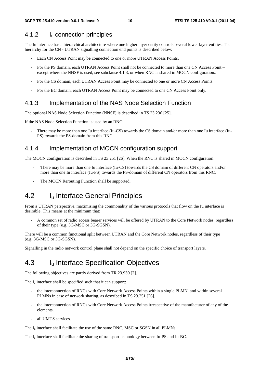#### 4.1.2 Iu connection principles

The Iu interface has a hierarchical architecture where one higher layer entity controls several lower layer entities. The hierarchy for the CN - UTRAN signalling connection end points is described below:

- Each CN Access Point may be connected to one or more UTRAN Access Points.
- For the PS domain, each UTRAN Access Point shall not be connected to more than one CN Access Point except where the NNSF is used, see subclause 4.1.3, or when RNC is shared in MOCN configuration..
- For the CS domain, each UTRAN Access Point may be connected to one or more CN Access Points.
- For the BC domain, each UTRAN Access Point may be connected to one CN Access Point only.

#### 4.1.3 Implementation of the NAS Node Selection Function

The optional NAS Node Selection Function (NNSF) is described in TS 23.236 [25].

If the NAS Node Selection Function is used by an RNC:

There may be more than one Iu interface (Iu-CS) towards the CS domain and/or more than one Iu interface (Iu-PS) towards the PS-domain from this RNC.

#### 4.1.4 Implementation of MOCN configuration support

The MOCN configuration is described in TS 23.251 [26]. When the RNC is shared in MOCN configuration:

- There may be more than one Iu interface (Iu-CS) towards the CS domain of different CN operators and/or more than one Iu interface (Iu-PS) towards the PS-domain of different CN operators from this RNC.
- The MOCN Rerouting Function shall be supported.

### 4.2 I<sub>u</sub> Interface General Principles

From a UTRAN perspective, maximising the commonality of the various protocols that flow on the Iu interface is desirable. This means at the minimum that:

- A common set of radio access bearer services will be offered by UTRAN to the Core Network nodes, regardless of their type (e.g. 3G-MSC or 3G-SGSN).

There will be a common functional split between UTRAN and the Core Network nodes, regardless of their type (e.g. 3G-MSC or 3G-SGSN).

Signalling in the radio network control plane shall not depend on the specific choice of transport layers.

### 4.3 I<sub>u</sub> Interface Specification Objectives

The following objectives are partly derived from TR 23.930 [2].

The  $I_{\rm u}$  interface shall be specified such that it can support:

- the interconnection of RNCs with Core Network Access Points within a single PLMN, and within several PLMNs in case of network sharing, as described in TS 23.251 [26].
- the interconnection of RNCs with Core Network Access Points irrespective of the manufacturer of any of the elements.
- all UMTS services.

The  $I<sub>u</sub>$  interface shall facilitate the use of the same RNC, MSC or SGSN in all PLMNs.

The I<sub>u</sub> interface shall facilitate the sharing of transport technology between Iu-PS and Iu-BC.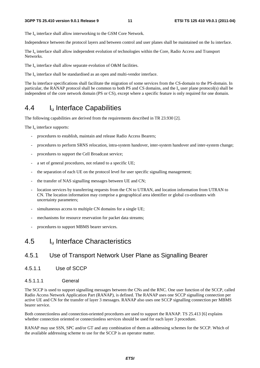The  $I_{\text{u}}$  interface shall allow interworking to the GSM Core Network.

Independence between the protocol layers and between control and user planes shall be maintained on the Iu interface.

The I<sub>u</sub> interface shall allow independent evolution of technologies within the Core, Radio Access and Transport Networks.

The  $I_u$  interface shall allow separate evolution of O&M facilities.

The  $I_{\text{u}}$  interface shall be standardised as an open and multi-vendor interface.

The Iu interface specifications shall facilitate the migration of some services from the CS-domain to the PS-domain. In particular, the RANAP protocol shall be common to both PS and CS domains, and the  $I<sub>u</sub>$  user plane protocol(s) shall be independent of the core network domain (PS or CS), except where a specific feature is only required for one domain.

## 4.4 Iu Interface Capabilities

The following capabilities are derived from the requirements described in TR 23.930 [2].

The  $I_{\text{u}}$  interface supports:

- procedures to establish, maintain and release Radio Access Bearers;
- procedures to perform SRNS relocation, intra-system handover, inter-system handover and inter-system change;
- procedures to support the Cell Broadcast service;
- a set of general procedures, not related to a specific UE;
- the separation of each UE on the protocol level for user specific signalling management;
- the transfer of NAS signalling messages between UE and CN;
- location services by transferring requests from the CN to UTRAN, and location information from UTRAN to CN. The location information may comprise a geographical area identifier or global co-ordinates with uncertainty parameters;
- simultaneous access to multiple CN domains for a single UE;
- mechanisms for resource reservation for packet data streams;
- procedures to support MBMS bearer services.

#### 4.5 Iu Interface Characteristics

#### 4.5.1 Use of Transport Network User Plane as Signalling Bearer

4.5.1.1 Use of SCCP

#### 4.5.1.1.1 General

The SCCP is used to support signalling messages between the CNs and the RNC. One user function of the SCCP, called Radio Access Network Application Part (RANAP), is defined. The RANAP uses one SCCP signalling connection per active UE and CN for the transfer of layer 3 messages. RANAP also uses one SCCP signalling connection per MBMS bearer service.

Both connectionless and connection-oriented procedures are used to support the RANAP. TS 25.413 [6] explains whether connection oriented or connectionless services should be used for each layer 3 procedure.

RANAP may use SSN, SPC and/or GT and any combination of them as addressing schemes for the SCCP. Which of the available addressing scheme to use for the SCCP is an operator matter.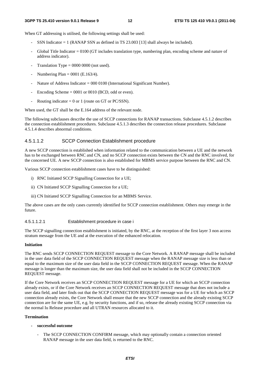When GT addressing is utilised, the following settings shall be used:

- SSN Indicator  $= 1$  (RANAP SSN as defined in TS 23.003 [13] shall always be included).
- Global Title Indicator = 0100 (GT includes translation type, numbering plan, encoding scheme and nature of address indicator).
- Translation Type =  $0000 0000$  (not used).
- Numbering Plan =  $0001$  (E.163/4).
- Nature of Address Indicator = 000 0100 (International Significant Number).
- Encoding Scheme  $= 0001$  or 0010 (BCD, odd or even).
- Routing indicator = 0 or 1 (route on GT or PC/SSN).

When used, the GT shall be the E.164 address of the relevant node.

The following subclauses describe the use of SCCP connections for RANAP transactions. Subclause 4.5.1.2 describes the connection establishment procedures. Subclause 4.5.1.3 describes the connection release procedures. Subclause 4.5.1.4 describes abnormal conditions.

#### 4.5.1.1.2 SCCP Connection Establishment procedure

A new SCCP connection is established when information related to the communication between a UE and the network has to be exchanged between RNC and CN, and no SCCP connection exists between the CN and the RNC involved, for the concerned UE. A new SCCP connection is also established for MBMS service purpose between the RNC and CN.

Various SCCP connection establishment cases have to be distinguished:

- i) RNC Initiated SCCP Signalling Connection for a UE;
- ii) CN Initiated SCCP Signalling Connection for a UE;
- iii) CN Initiated SCCP Signalling Connection for an MBMS Service.

The above cases are the only cases currently identified for SCCP connection establishment. Others may emerge in the future.

#### 4.5.1.1.2.1 Establishment procedure in case i

The SCCP signalling connection establishment is initiated, by the RNC, at the reception of the first layer 3 non access stratum message from the UE and at the execution of the enhanced relocation.

#### **Initiation**

The RNC sends SCCP CONNECTION REQUEST message to the Core Network. A RANAP message shall be included in the user data field of the SCCP CONNECTION REQUEST message when the RANAP message size is less than or equal to the maximum size of the user data field in the SCCP CONNECTION REQUEST message. When the RANAP message is longer than the maximum size, the user data field shall not be included in the SCCP CONNECTION REQUEST message.

If the Core Network receives an SCCP CONNECTION REQUEST message for a UE for which an SCCP connection already exists, or if the Core Network receives an SCCP CONNECTION REQUEST message that does not include a user data field, and later finds out that the SCCP CONNECTION REQUEST message was for a UE for which an SCCP connection already exists, the Core Network shall ensure that the new SCCP connection and the already existing SCCP connection are for the same UE, e.g. by security functions, and if so, release the already existing SCCP connection via the normal Iu Release procedure and all UTRAN resources allocated to it.

#### **Termination**

- **successful outcome** 
	- The SCCP CONNECTION CONFIRM message, which may optionally contain a connection oriented RANAP message in the user data field, is returned to the RNC.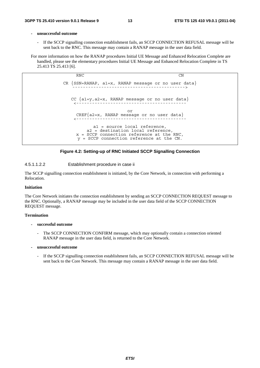#### **- unsuccessful outcome**

If the SCCP signalling connection establishment fails, an SCCP CONNECTION REFUSAL message will be sent back to the RNC. This message may contain a RANAP message in the user data field.

For more information on how the RANAP procedures Initial UE Message and Enhanced Relocation Complete are handled, please see the elementary procedures Initial UE Message and Enhanced Relocation Complete in TS 25.413 TS 25.413 [6].

> RNC CN CR  ${SSN=RANAP, a1=x, RANAP message or no user data}$ CC {a1=y,a2=x, RANAP message or no user data} <----------------------------------------- or CREF{a2=x, RANAP message or no user data} <----------------------------------------- a1 = source local reference, a2 = destination local reference, x = SCCP connection reference at the RNC, y = SCCP connection reference at the CN.

#### **Figure 4.2: Setting-up of RNC Initiated SCCP Signalling Connection**

#### 4.5.1.1.2.2 Establishment procedure in case ii

The SCCP signalling connection establishment is initiated, by the Core Network, in connection with performing a Relocation.

#### **Initiation**

The Core Network initiates the connection establishment by sending an SCCP CONNECTION REQUEST message to the RNC. Optionally, a RANAP message may be included in the user data field of the SCCP CONNECTION REQUEST message.

#### **Termination**

#### **- successful outcome**

- The SCCP CONNECTION CONFIRM message, which may optionally contain a connection oriented RANAP message in the user data field, is returned to the Core Network.
- **unsuccessful outcome** 
	- If the SCCP signalling connection establishment fails, an SCCP CONNECTION REFUSAL message will be sent back to the Core Network. This message may contain a RANAP message in the user data field.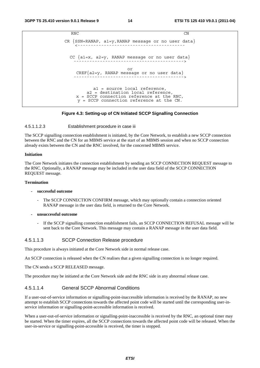```
RNC CN
CR \n{SSN=RANAP, al=y, RANAP message or no user data}CC \{a1=x, a2=y, RANAP message or no user data\}or 
    CREF{a2=y, RANAP message or no user data} 
                      ------------------------------------------> 
          a1 = source local reference, 
        a2 = destination local reference, 
    x = SCCP connection reference at the RNC, 
    y = SCCP connection reference at the CN.
```
#### **Figure 4.3: Setting-up of CN Initiated SCCP Signalling Connection**

#### 4.5.1.1.2.3 Establishment procedure in case iii

The SCCP signalling connection establishment is initiated, by the Core Network, to establish a new SCCP connection between the RNC and the CN for an MBMS service at the start of an MBMS session and when no SCCP connection already exists between the CN and the RNC involved, for the concerned MBMS service.

#### **Initiation**

The Core Network initiates the connection establishment by sending an SCCP CONNECTION REQUEST message to the RNC. Optionally, a RANAP message may be included in the user data field of the SCCP CONNECTION REQUEST message.

#### **Termination**

#### **- successful outcome**

- The SCCP CONNECTION CONFIRM message, which may optionally contain a connection oriented RANAP message in the user data field, is returned to the Core Network.
- **unsuccessful outcome** 
	- If the SCCP signalling connection establishment fails, an SCCP CONNECTION REFUSAL message will be sent back to the Core Network. This message may contain a RANAP message in the user data field.

#### 4.5.1.1.3 SCCP Connection Release procedure

This procedure is always initiated at the Core Network side in normal release case.

An SCCP connection is released when the CN realises that a given signalling connection is no longer required.

The CN sends a SCCP RELEASED message.

The procedure may be initiated at the Core Network side and the RNC side in any abnormal release case.

#### 4.5.1.1.4 General SCCP Abnormal Conditions

If a user-out-of-service information or signalling-point-inaccessible information is received by the RANAP, no new attempt to establish SCCP connections towards the affected point code will be started until the corresponding user-inservice information or signalling-point-accessible information is received.

When a user-out-of-service information or signalling-point-inaccessible is received by the RNC, an optional timer may be started. When the timer expires, all the SCCP connections towards the affected point code will be released. When the user-in-service or signalling-point-accessible is received, the timer is stopped.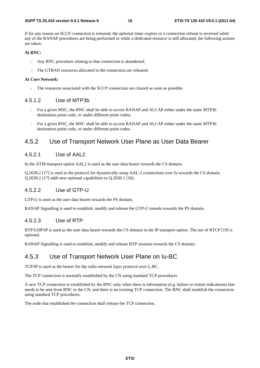If for any reason an SCCP connection is released, the optional timer expires or a connection refusal is received while any of the RANAP procedures are being performed or while a dedicated resource is still allocated, the following actions are taken:

#### **At RNC:**

- Any RNC procedure relating to that connection is abandoned.
- The UTRAN resources allocated to the connection are released.

#### **At Core Network:**

The resources associated with the SCCP connection are cleared as soon as possible.

#### 4.5.1.2 Use of MTP3b

- For a given MSC, the RNC shall be able to access RANAP and ALCAP either under the same MTP3b destination point code, or under different point codes;
- For a given RNC, the MSC shall be able to access RANAP and ALCAP either under the same MTP3b destination point code, or under different point codes.

#### 4.5.2 Use of Transport Network User Plane as User Data Bearer

#### 4.5.2.1 Use of AAL2

In the ATM transport option AAL2 is used as the user data bearer towards the CS domain.

Q.2630.2 [17] is used as the protocol for dynamically setup AAL-2 connections over Iu towards the CS domain. Q.2630.2 [17] adds new optional capabilities to Q.2630.1 [16].

#### 4.5.2.2 Use of GTP-U

GTP-U is used as the user data bearer towards the PS domain.

RANAP Signalling is used to establish, modify and release the GTP-U tunnels towards the PS domain.

#### 4.5.2.3 Use of RTP

RTP/UDP/IP is used as the user data bearer towards the CS domain in the IP transport option. The use of RTCP [19] is optional.

RANAP Signalling is used to establish, modify and release RTP sessions towards the CS domain.

#### 4.5.3 Use of Transport Network User Plane on Iu-BC

TCP/IP is used as the bearer for the radio network layer protocol over  $I_u$ -BC.

The TCP connection is normally established by the CN using standard TCP procedures.

A new TCP connection is established by the RNC only when there is information (e.g. failure or restart indications) that needs to be sent from RNC to the CN, and there is no existing TCP connection. The RNC shall establish the connection using standard TCP procedures.

The node that established the connection shall release the TCP connection.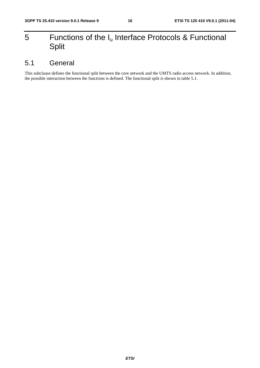## 5 Functions of the  $I_u$  Interface Protocols & Functional Split

## 5.1 General

This subclause defines the functional split between the core network and the UMTS radio access network. In addition, the possible interaction between the functions is defined. The functional split is shown in table 5.1.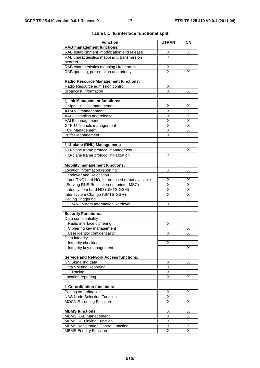| <b>Function</b>                                      | <b>UTRAN</b>                    | <b>CN</b>                           |
|------------------------------------------------------|---------------------------------|-------------------------------------|
| <b>RAB management functions:</b>                     |                                 |                                     |
| RAB establishment, modification and release          |                                 | х                                   |
| RAB characteristics mapping $I_u$ transmission       | $\frac{\mathsf{x}}{\mathsf{x}}$ |                                     |
| bearers                                              |                                 |                                     |
| RAB characteristics mapping Uu bearers               | $\frac{X}{X}$                   |                                     |
| RAB queuing, pre-emption and priority                |                                 | х                                   |
|                                                      |                                 |                                     |
| <b>Radio Resource Management functions:</b>          |                                 |                                     |
| Radio Resource admission control                     | Χ                               |                                     |
| <b>Broadcast Information</b>                         | X                               | х                                   |
| Iu link Management functions:                        |                                 |                                     |
| I <sub>u</sub> signalling link management            | х                               | х                                   |
| ATM VC management                                    | $\overline{\mathsf{x}}$         | $\overline{\mathsf{x}}$             |
| AAL2 establish and release                           |                                 |                                     |
| AAL5 management                                      | $\frac{\mathsf{X}}{\mathsf{X}}$ | $\frac{\overline{x}}{\overline{x}}$ |
| GTP-U Tunnels management                             | $\overline{\mathsf{x}}$         | $\overline{\mathsf{x}}$             |
| <b>TCP Management</b>                                | $\overline{\mathsf{x}}$         | X                                   |
| <b>Buffer Management</b>                             | X                               |                                     |
|                                                      |                                 |                                     |
| Iu U-plane (RNL) Management:                         |                                 |                                     |
| I <sub>u</sub> U-plane frame protocol management     |                                 | х                                   |
| I <sub>u</sub> U-plane frame protocol initialization | X                               |                                     |
|                                                      |                                 |                                     |
| <b>Mobility management functions:</b>                |                                 |                                     |
| Location information reporting                       | Χ                               | х                                   |
| Handover and Relocation                              |                                 |                                     |
| Inter RNC hard HO, lur not used or not available     | Χ                               | Χ                                   |
| Serving RNS Relocation (intra/inter MSC)             | X                               | X                                   |
| Inter system hard HO (UMTS-GSM)                      | X                               | $\overline{\mathsf{x}}$             |
| Inter system Change (UMTS-GSM)                       | $\overline{\mathsf{x}}$         | $\overline{\mathsf{x}}$             |
| Paging Triggering                                    |                                 | $\overline{\mathsf{x}}$             |
| <b>GERAN System Information Retrieval</b>            | X                               | $\overline{\mathsf{x}}$             |
| <b>Security Functions:</b>                           |                                 |                                     |
| Data confidentiality                                 |                                 |                                     |
| Radio interface ciphering                            | х                               |                                     |
| Ciphering key management                             |                                 | Х                                   |
| User identity confidentiality                        | Χ                               | X                                   |
| Data integrity                                       |                                 |                                     |
| Integrity checking                                   | Χ                               |                                     |
| Integrity key management                             |                                 | Χ                                   |
|                                                      |                                 |                                     |
| <b>Service and Network Access functions:</b>         |                                 |                                     |
| CN Signalling data                                   | X                               | Χ                                   |
| Data Volume Reporting                                | $\overline{\mathsf{x}}$         |                                     |
| <b>UE Tracing</b>                                    | Χ                               | х                                   |
| Location reporting                                   | Χ                               | X                                   |
| I <sub>u</sub> Co-ordination functions:              |                                 |                                     |
| Paging co-ordination                                 | X                               | х                                   |
| <b>NAS Node Selection Function</b>                   | X                               |                                     |
| <b>MOCN Rerouting Function</b>                       | $\overline{\mathsf{x}}$         | Χ                                   |
|                                                      |                                 |                                     |
| <b>MBMS functions</b>                                | Х                               | х                                   |
| <b>MBMS RAB Management</b>                           | X                               | $\overline{\mathsf{x}}$             |
| <b>MBMS UE Linking Function</b>                      | Χ                               | X                                   |
| <b>MBMS Registration Control Function</b>            | Χ                               | X                                   |
| <b>MBMS Enquiry Function</b>                         | $\overline{\mathsf{x}}$         | $\overline{\mathsf{x}}$             |

#### **Table 5.1: Iu interface functional split**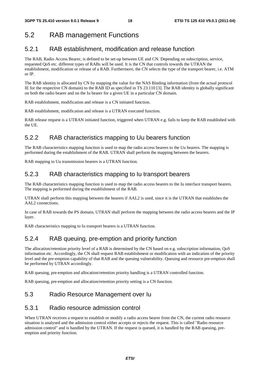## 5.2 RAB management Functions

### 5.2.1 RAB establishment, modification and release function

The RAB, Radio Access Bearer, is defined to be set-up between UE and CN. Depending on subscription, service, requested QoS etc. different types of RABs will be used. It is the CN that controls towards the UTRAN the establishment, modification or release of a RAB. Furthermore, the CN selects the type of the transport bearer, i.e. ATM or IP.

The RAB identity is allocated by CN by mapping the value for the NAS Binding information (from the actual protocol IE for the respective CN domain) to the RAB ID as specified in TS 23.110 [3]. The RAB identity is globally significant on both the radio bearer and on the Iu bearer for a given UE in a particular CN domain.

RAB establishment, modification and release is a CN initiated function.

RAB establishment, modification and release is a UTRAN executed function.

RAB release request is a UTRAN initiated function, triggered when UTRAN e.g. fails to keep the RAB established with the UE.

### 5.2.2 RAB characteristics mapping to Uu bearers function

The RAB characteristics mapping function is used to map the radio access bearers to the Uu bearers. The mapping is performed during the establishment of the RAB. UTRAN shall perform the mapping between the bearers.

RAB mapping to Uu transmission bearers is a UTRAN function.

### 5.2.3 RAB characteristics mapping to Iu transport bearers

The RAB characteristics mapping function is used to map the radio access bearers to the Iu interface transport bearers. The mapping is performed during the establishment of the RAB.

UTRAN shall perform this mapping between the bearers if AAL2 is used, since it is the UTRAN that establishes the AAL2 connections.

In case of RAB towards the PS domain, UTRAN shall perform the mapping between the radio access bearers and the IP layer.

RAB characteristics mapping to Iu transport bearers is a UTRAN function.

### 5.2.4 RAB queuing, pre-emption and priority function

The allocation/retention priority level of a RAB is determined by the CN based on e.g. subscription information, QoS information etc. Accordingly, the CN shall request RAB establishment or modification with an indication of the priority level and the pre-emption capability of that RAB and the queuing vulnerability. Queuing and resource pre-emption shall be performed by UTRAN accordingly.

RAB queuing, pre-emption and allocation/retention priority handling is a UTRAN controlled function.

RAB queuing, pre-emption and allocation/retention priority setting is a CN function.

### 5.3 Radio Resource Management over Iu

#### 5.3.1 Radio resource admission control

When UTRAN receives a request to establish or modify a radio access bearer from the CN, the current radio resource situation is analysed and the admission control either accepts or rejects the request. This is called "Radio resource admission control" and is handled by the UTRAN. If the request is queued, it is handled by the RAB queuing, preemption and priority function.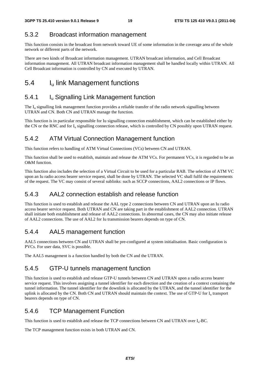### 5.3.2 Broadcast information management

This function consists in the broadcast from network toward UE of some information in the coverage area of the whole network or different parts of the network.

There are two kinds of Broadcast information management. UTRAN broadcast information, and Cell Broadcast information management. All UTRAN broadcast information management shall be handled locally within UTRAN. All Cell Broadcast information is controlled by CN and executed by UTRAN.

## 5.4 I<sub>u</sub> link Management functions

### 5.4.1 **I**<sub>u</sub> Signalling Link Management function

The I<sub>u</sub> signalling link management function provides a reliable transfer of the radio network signalling between UTRAN and CN. Both CN and UTRAN manage the function.

This function is in particular responsible for Iu signalling connection establishment, which can be established either by the CN or the RNC and for  $I_u$  signalling connection release, which is controlled by CN possibly upon UTRAN request.

### 5.4.2 ATM Virtual Connection Management function

This function refers to handling of ATM Virtual Connections (VCs) between CN and UTRAN.

This function shall be used to establish, maintain and release the ATM VCs. For permanent VCs, it is regarded to be an O&M function.

This function also includes the selection of a Virtual Circuit to be used for a particular RAB. The selection of ATM VC upon an Iu radio access bearer service request, shall be done by UTRAN. The selected VC shall fulfil the requirements of the request. The VC may consist of several sublinks: such as SCCP connections, AAL2 connections or IP flows.

### 5.4.3 AAL2 connection establish and release function

This function is used to establish and release the AAL type 2 connections between CN and UTRAN upon an Iu radio access bearer service request. Both UTRAN and CN are taking part in the establishment of AAL2 connection. UTRAN shall initiate both establishment and release of AAL2 connections. In abnormal cases, the CN may also initiate release of AAL2 connections. The use of AAL2 for Iu transmission bearers depends on type of CN.

### 5.4.4 AAL5 management function

AAL5 connections between CN and UTRAN shall be pre-configured at system initialisation. Basic configuration is PVCs. For user data, SVC is possible.

The AAL5 management is a function handled by both the CN and the UTRAN.

### 5.4.5 GTP-U tunnels management function

This function is used to establish and release GTP-U tunnels between CN and UTRAN upon a radio access bearer service request. This involves assigning a tunnel identifier for each direction and the creation of a context containing the tunnel information. The tunnel identifier for the downlink is allocated by the UTRAN, and the tunnel identifier for the uplink is allocated by the CN. Both CN and UTRAN should maintain the context. The use of GTP-U for I<sub>u</sub> transport bearers depends on type of CN.

### 5.4.6 TCP Management Function

This function is used to establish and release the TCP connections between CN and UTRAN over Iu-BC.

The TCP management function exists in both UTRAN and CN.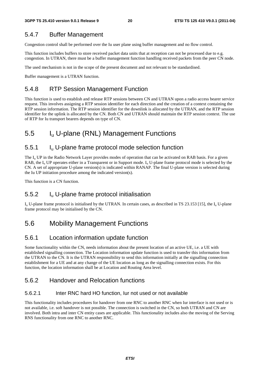### 5.4.7 Buffer Management

Congestion control shall be performed over the Iu user plane using buffer management and no flow control.

This function includes buffers to store received packet data units that at reception can not be processed due to e.g. congestion. In UTRAN, there must be a buffer management function handling received packets from the peer CN node.

The used mechanism is not in the scope of the present document and not relevant to be standardised.

Buffer management is a UTRAN function.

### 5.4.8 RTP Session Management Function

This function is used to establish and release RTP sessions between CN and UTRAN upon a radio access bearer service request. This involves assigning a RTP session identifier for each direction and the creation of a context containing the RTP session information. The RTP session identifier for the downlink is allocated by the UTRAN, and the RTP session identifier for the uplink is allocated by the CN. Both CN and UTRAN should maintain the RTP session context. The use of RTP for Iu transport bearers depends on type of CN.

## 5.5 Iu U-plane (RNL) Management Functions

### 5.5.1 Iu U-plane frame protocol mode selection function

The  $I_{\rm u}$  UP in the Radio Network Layer provides modes of operation that can be activated on RAB basis. For a given RAB, the  $I_{\rm u}$  UP operates either in a Transparent or in Support mode.  $I_{\rm u}$  U-plane frame protocol mode is selected by the CN. A set of appropriate U-plane version(s) is indicated within RANAP. The final U-plane version is selected during the Iu UP initiation procedure among the indicated version(s).

This function is a CN function.

### 5.5.2 Iu U-plane frame protocol initialisation

 $I_{u}$  U-plane frame protocol is initialised by the UTRAN. In certain cases, as described in TS 23.153 [15], the  $I_{u}$  U-plane frame protocol may be initialised by the CN.

## 5.6 Mobility Management Functions

### 5.6.1 Location information update function

Some functionality within the CN, needs information about the present location of an active UE, i.e. a UE with established signalling connection. The Location information update function is used to transfer this information from the UTRAN to the CN. It is the UTRAN responsibility to send this information initially at the signalling connection establishment for a UE and at any change of the UE location as long as the signalling connection exists. For this function, the location information shall be at Location and Routing Area level.

### 5.6.2 Handover and Relocation functions

#### 5.6.2.1 Inter RNC hard HO function, Iur not used or not available

This functionality includes procedures for handover from one RNC to another RNC when Iur interface is not used or is not available, i.e. soft handover is not possible. The connection is switched in the CN, so both UTRAN and CN are involved. Both intra and inter CN entity cases are applicable. This functionality includes also the moving of the Serving RNS functionality from one RNC to another RNC.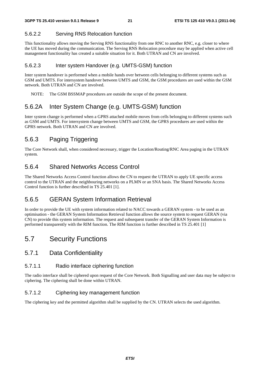#### 5.6.2.2 Serving RNS Relocation function

This functionality allows moving the Serving RNS functionality from one RNC to another RNC, e.g. closer to where the UE has moved during the communication. The Serving RNS Relocation procedure may be applied when active cell management functionality has created a suitable situation for it. Both UTRAN and CN are involved.

#### 5.6.2.3 Inter system Handover (e.g. UMTS-GSM) function

Inter system handover is performed when a mobile hands over between cells belonging to different systems such as GSM and UMTS. For intersystem handover between UMTS and GSM, the GSM procedures are used within the GSM network. Both UTRAN and CN are involved.

NOTE: The GSM BSSMAP procedures are outside the scope of the present document.

### 5.6.2A Inter System Change (e.g. UMTS-GSM) function

Inter system change is performed when a GPRS attached mobile moves from cells belonging to different systems such as GSM and UMTS. For intersystem change between UMTS and GSM, the GPRS procedures are used within the GPRS network. Both UTRAN and CN are involved.

### 5.6.3 Paging Triggering

The Core Network shall, when considered necessary, trigger the Location/Routing/RNC Area paging in the UTRAN system.

### 5.6.4 Shared Networks Access Control

The Shared Networks Access Control function allows the CN to request the UTRAN to apply UE specific access control to the UTRAN and the neighbouring networks on a PLMN or an SNA basis. The Shared Networks Access Control function is further described in TS 25.401 [1].

### 5.6.5 GERAN System Information Retrieval

In order to provide the UE with system information related to NACC towards a GERAN system - to be used as an optimisation - the GERAN System Information Retrieval function allows the source system to request GERAN (via CN) to provide this system information. The request and subsequent transfer of the GERAN System Information is performed transparently with the RIM function. The RIM function is further described in TS 25.401 [1]

### 5.7 Security Functions

#### 5.7.1 Data Confidentiality

#### 5.7.1.1 Radio interface ciphering function

The radio interface shall be ciphered upon request of the Core Network. Both Signalling and user data may be subject to ciphering. The ciphering shall be done within UTRAN.

#### 5.7.1.2 Ciphering key management function

The ciphering key and the permitted algorithm shall be supplied by the CN. UTRAN selects the used algorithm.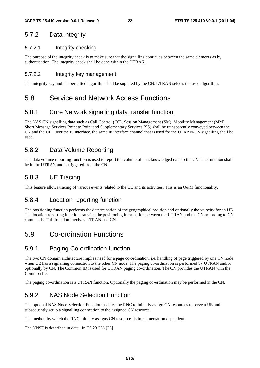#### 5.7.2 Data integrity

#### 5.7.2.1 Integrity checking

The purpose of the integrity check is to make sure that the signalling continues between the same elements as by authentication. The integrity check shall be done within the UTRAN.

#### 5.7.2.2 Integrity key management

The integrity key and the permitted algorithm shall be supplied by the CN. UTRAN selects the used algorithm.

### 5.8 Service and Network Access Functions

### 5.8.1 Core Network signalling data transfer function

The NAS CN signalling data such as Call Control (CC), Session Management (SM), Mobility Management (MM), Short Message Services Point to Point and Supplementary Services (SS) shall be transparently conveyed between the CN and the UE. Over the Iu interface, the same Iu interface channel that is used for the UTRAN-CN signalling shall be used.

### 5.8.2 Data Volume Reporting

The data volume reporting function is used to report the volume of unacknowledged data to the CN. The function shall be in the UTRAN and is triggered from the CN.

### 5.8.3 UE Tracing

This feature allows tracing of various events related to the UE and its activities. This is an O&M functionality.

#### 5.8.4 Location reporting function

The positioning function performs the determination of the geographical position and optionally the velocity for an UE. The location reporting function transfers the positioning information between the UTRAN and the CN according to CN commands. This function involves UTRAN and CN.

## 5.9 Co-ordination Functions

### 5.9.1 Paging Co-ordination function

The two CN domain architecture implies need for a page co-ordination, i.e. handling of page triggered by one CN node when UE has a signalling connection to the other CN node. The paging co-ordination is performed by UTRAN and/or optionally by CN. The Common ID is used for UTRAN paging co-ordination. The CN provides the UTRAN with the Common ID.

The paging co-ordination is a UTRAN function. Optionally the paging co-ordination may be performed in the CN.

### 5.9.2 NAS Node Selection Function

The optional NAS Node Selection Function enables the RNC to initially assign CN resources to serve a UE and subsequently setup a signalling connection to the assigned CN resource.

The method by which the RNC initially assigns CN resources is implementation dependent.

The NNSF is described in detail in TS 23.236 [25].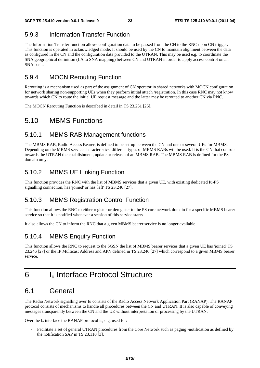## 5.9.3 Information Transfer Function

The Information Transfer function allows configuration data to be passed from the CN to the RNC upon CN trigger. This function is operated in acknowledged mode. It should be used by the CN to maintain alignment between the data as configured in the CN and the configuration data provided to the UTRAN. This may be used e.g. to coordinate the SNA geographical definition (LA to SNA mapping) between CN and UTRAN in order to apply access control on an SNA basis.

### 5.9.4 MOCN Rerouting Function

Rerouting is a mechanism used as part of the assignment of CN operator in shared networks with MOCN configuration for network sharing non-supporting UEs when they perform initial attach /registration. In this case RNC may not know towards which CN to route the initial UE request message and the latter may be rerouted to another CN via RNC.

The MOCN Rerouting Function is described in detail in TS 23.251 [26].

### 5.10 MBMS Functions

#### 5.10.1 MBMS RAB Management functions

The MBMS RAB, Radio Access Bearer, is defined to be set-up between the CN and one or several UEs for MBMS. Depending on the MBMS service characteristics, different types of MBMS RABs will be used. It is the CN that controls towards the UTRAN the establishment, update or release of an MBMS RAB. The MBMS RAB is defined for the PS domain only.

### 5.10.2 MBMS UE Linking Function

This function provides the RNC with the list of MBMS services that a given UE, with existing dedicated Iu-PS signalling connection, has 'joined' or has 'left' TS 23.246 [27].

### 5.10.3 MBMS Registration Control Function

This function allows the RNC to either register or deregister to the PS core network domain for a specific MBMS bearer service so that it is notified whenever a session of this service starts.

It also allows the CN to inform the RNC that a given MBMS bearer service is no longer available.

### 5.10.4 MBMS Enquiry Function

This function allows the RNC to request to the SGSN the list of MBMS bearer services that a given UE has 'joined' TS 23.246 [27] or the IP Multicast Address and APN defined in TS 23.246 [27] which correspond to a given MBMS bearer service.

## 6 I<sub>u</sub> Interface Protocol Structure

### 6.1 General

The Radio Network signalling over Iu consists of the Radio Access Network Application Part (RANAP). The RANAP protocol consists of mechanisms to handle all procedures between the CN and UTRAN. It is also capable of conveying messages transparently between the CN and the UE without interpretation or processing by the UTRAN.

Over the  $I_u$  interface the RANAP protocol is, e.g. used for:

- Facilitate a set of general UTRAN procedures from the Core Network such as paging -notification as defined by the notification SAP in TS 23.110 [3].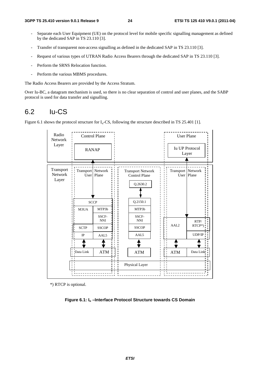- Separate each User Equipment (UE) on the protocol level for mobile specific signalling management as defined by the dedicated SAP in TS 23.110 [3].
- Transfer of transparent non-access signalling as defined in the dedicated SAP in TS 23.110 [3].
- Request of various types of UTRAN Radio Access Bearers through the dedicated SAP in TS 23.110 [3].
- Perform the SRNS Relocation function.
- Perform the various MBMS procedures.

The Radio Access Bearers are provided by the Access Stratum.

Over Iu-BC, a datagram mechanism is used, so there is no clear separation of control and user planes, and the SABP protocol is used for data transfer and signalling.

### 6.2 Iu-CS

Figure 6.1 shows the protocol structure for  $I<sub>u</sub>$ -CS, following the structure described in TS 25.401 [1].



\*) RTCP is optional.

**Figure 6.1: Iu –Interface Protocol Structure towards CS Domain**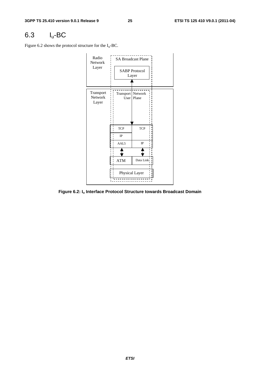## 6.3 Iu-BC

Figure 6.2 shows the protocol structure for the  $I_u$ -BC.



**Figure 6.2: Iu Interface Protocol Structure towards Broadcast Domain**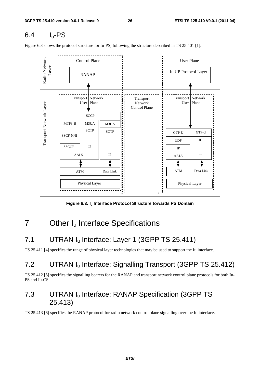## 6.4 Iu-PS

Figure 6.3 shows the protocol structure for Iu-PS, following the structure described in TS 25.401 [1].



Figure 6.3: I<sub>u</sub> Interface Protocol Structure towards PS Domain

## 7 Other I<sub>u</sub> Interface Specifications

## 7.1 UTRAN I<sub>u</sub> Interface: Layer 1 (3GPP TS 25.411)

TS 25.411 [4] specifies the range of physical layer technologies that may be used to support the Iu interface.

## 7.2 UTRAN I<sub>u</sub> Interface: Signalling Transport (3GPP TS 25.412)

TS 25.412 [5] specifies the signalling bearers for the RANAP and transport network control plane protocols for both Iu-PS and Iu-CS.

## 7.3 UTRAN Iu Interface: RANAP Specification (3GPP TS 25.413)

TS 25.413 [6] specifies the RANAP protocol for radio network control plane signalling over the Iu interface.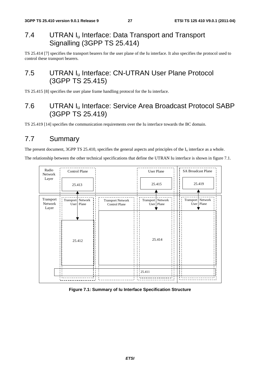## 7.4 UTRAN I<sub>u</sub> Interface: Data Transport and Transport Signalling (3GPP TS 25.414)

TS 25.414 [7] specifies the transport bearers for the user plane of the Iu interface. It also specifies the protocol used to control these transport bearers.

## 7.5 UTRAN I<sub>u</sub> Interface: CN-UTRAN User Plane Protocol (3GPP TS 25.415)

TS 25.415 [8] specifies the user plane frame handling protocol for the Iu interface.

## 7.6 UTRAN Iu Interface: Service Area Broadcast Protocol SABP (3GPP TS 25.419)

TS 25.419 [14] specifies the communication requirements over the Iu interface towards the BC domain.

## 7.7 Summary

The present document, 3GPP TS 25.410, specifies the general aspects and principles of the  $I_u$  interface as a whole.

The relationship between the other technical specifications that define the UTRAN Iu interface is shown in figure 7.1.



#### **Figure 7.1: Summary of Iu Interface Specification Structure**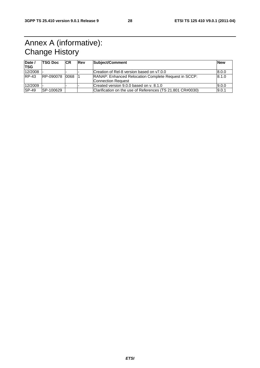## Annex A (informative): Change History

| Date /<br><b>TSG</b> | <b>TSG Doc</b> | <b>CR</b> | <b>Rev</b> | Subject/Comment                                                                   | <b>New</b> |
|----------------------|----------------|-----------|------------|-----------------------------------------------------------------------------------|------------|
| 12/2008              |                |           |            | Creation of Rel-8 version based on y7.0.0                                         | 8.0.0      |
| $RP-43$              | RP-090078      | 0068      |            | <b>RANAP: Enhanced Relocation Complete Request in SCCP:</b><br>Connection Request | 8.1.0      |
| 12/2009              |                |           |            | Created version 9.0.0 based on y, 8.1.0                                           | 9.0.0      |
| <b>SP-49</b>         | SP-100629      |           |            | Clarification on the use of References (TS 21.801 CR#0030)                        | 9.0.1      |